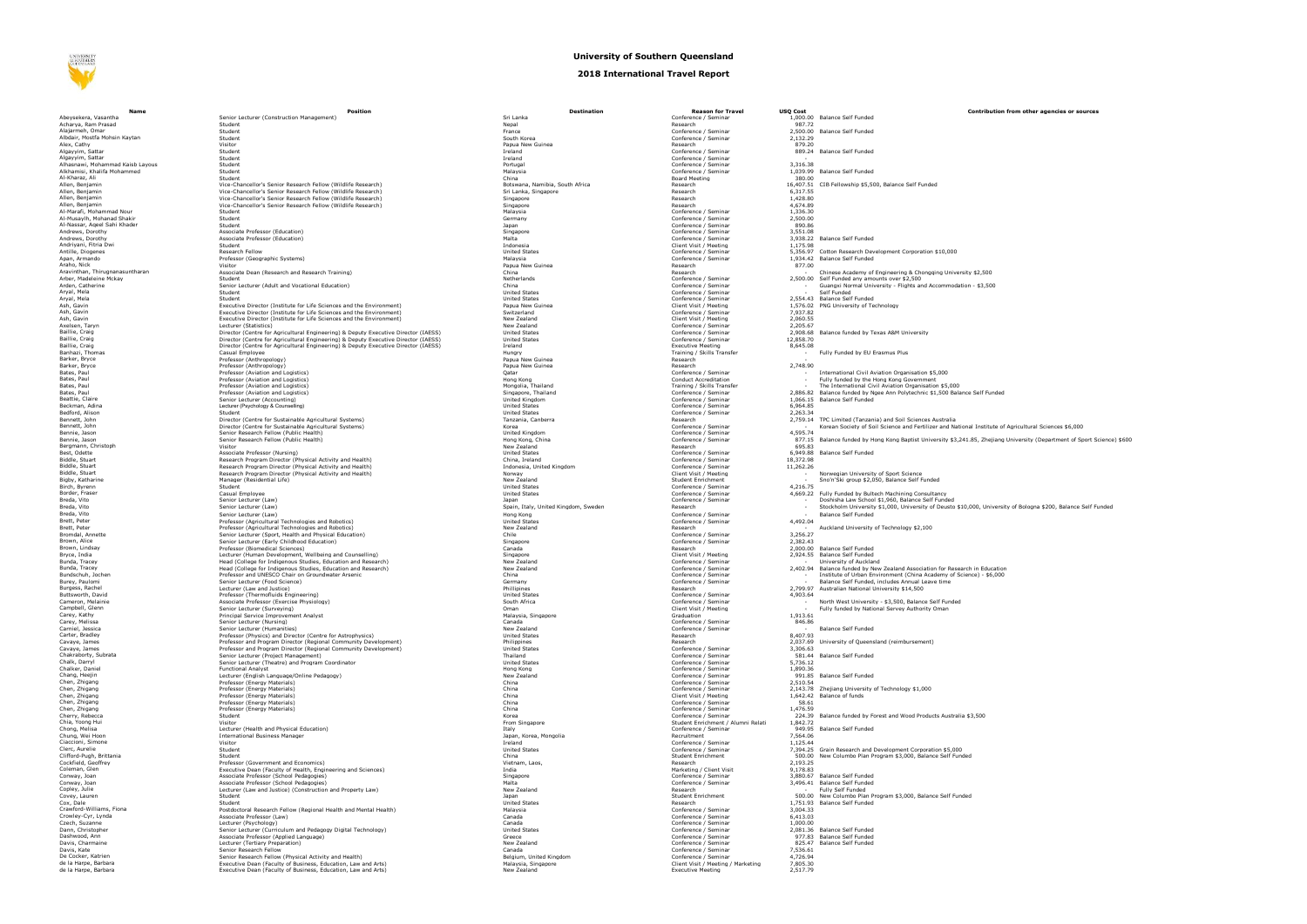**NIVERSIT**<br>SOUTHER h.ez

## **Abeysekera, Vasantha Senior Lecturer (Construction Management)**<br>Acharva. Ram Prasad Seminar 1,000 Balance Senior Lecturer (Construction Management) Bennie, Jason<br>Bennie, Jason<br>Bergmann, Christoph Visitor Visitor Visitor New York (Public<br>Best, Odette Visitor New York (Nursing) Best, Odette Associate Associate Professor (Nursing) United States Conference / Seminar 6,949.88 Balance / Seminar 6,949.88 Balance / Seminar 6,949.88 Balance Self Funded States Conference / Seminar 6,949.88 Balance Self F Bunds, Instep<br>Bunds, Jochen Professor and University and University and University Chair on Groundwater Arsenic<br>Bundses, Rachel<br>Buttsworth, David<br>Buttsworth, David Chen, Zhigang Professor (Energy Materials)<br>Chen, Zhigang Professor (Energy Materials)<br>Chen, Zhigang Professor (Energy Materials)<br>Chen, Zhigang Professor (Energy Materials)<br>Chen, Zhigang Professor (Energy Materials) Conway, Joan (Copley, Julie 2008)<br>Copley, Julie 2009, Associate Professor (School Pedaqoqies)<br>Copley, Julie 2009, New Zealand Research - Funded Research - Funded Research - Funded Research - Funded Resear<br>Covev, Jauren - F Covey, Lauren<br>Cox, Dale<br>Crowley-Cyr, Lynda Browley-Cyr, Lynda Associate Professor (Law)<br>Crowley-Cyr, Lynda Conference / Sessor (Law)<br>Czech, Suzanne / Seminar 6,421.033.031.033.032.033.03

## **University of Southern Queensland**

## **2018 International Travel Report**

| Name                                                            | Position                                                                                                                                     | <b>Destination</b>                           | <b>Reason for Travel</b>                                   | <b>USQ Cost</b>      |                                                                    |
|-----------------------------------------------------------------|----------------------------------------------------------------------------------------------------------------------------------------------|----------------------------------------------|------------------------------------------------------------|----------------------|--------------------------------------------------------------------|
| Abeysekera, Vasantha                                            | Senior Lecturer (Construction Management)                                                                                                    | Sri Lanka                                    | Conference / Seminar                                       |                      | 1.000.00 Balance Self Funded                                       |
| Acharya, Ram Prasad                                             | Student                                                                                                                                      | Nepal                                        | Research                                                   | 987.72               |                                                                    |
| Alajarmeh, Omar<br>Albdair, Mostfa Mohsin Kaytan                | Student<br>Student                                                                                                                           | France<br>South Korea                        | Conference / Seminar<br>Conference / Seminar               | 2.132.29             | 2.500.00 Balance Self Funded                                       |
| Alex, Cathy                                                     | Visitor                                                                                                                                      | Papua New Guinea                             | Research                                                   | 879.20               |                                                                    |
| Alqayyim, Sattar                                                | Student                                                                                                                                      | Ireland                                      | Conference / Seminar                                       |                      | 889.24 Balance Self Funded                                         |
| Algayyim, Sattar                                                | Student                                                                                                                                      | Ireland                                      | Conference / Seminar                                       |                      |                                                                    |
| Alhasnawi, Mohammad Kaisb Layous<br>Alkhamisi, Khalifa Mohammed | Student<br>Student                                                                                                                           | Portuga<br>Malaysia                          | Conference / Seminar<br>Conference / Seminar               | 3,316.38             |                                                                    |
| Al-Kharaz, Ali                                                  | Student                                                                                                                                      | China                                        | Board Meeting                                              |                      | 1,039.99 Balance Self Funded<br>380.00                             |
| Allen, Benjamin                                                 | Vice-Chancellor's Senior Research Fellow (Wildlife Research)                                                                                 | Botswana, Namibia, South Africa              | Research                                                   |                      | 16,407.51 CIB Fellowship \$5,500, Balan                            |
| Allen, Benjamin                                                 | Vice-Chancellor's Senior Research Fellow (Wildlife Research)                                                                                 | Sri Lanka, Singapore                         | Research                                                   | 6.317.55             |                                                                    |
| Allen, Benjamin<br>Allen, Benjamin                              | Vice-Chancellor's Senior Research Fellow (Wildlife Research)<br>Vice-Chancellor's Senior Research Fellow (Wildlife Research)                 | Singapore<br>Singapore                       | Research<br>Research                                       | 1,428.80<br>4.674.89 |                                                                    |
| Al-Marafi, Mohammad Nour                                        | Student                                                                                                                                      | Malaysia                                     | Conference / Seminar                                       | 1.336.30             |                                                                    |
| Al-Musaylh, Mohanad Shakir                                      | Student                                                                                                                                      | Germany                                      | Conference / Seminar                                       | 2,500.00             |                                                                    |
| Al-Nassar, Ageel Sahi Khader                                    | Student                                                                                                                                      | lanan                                        | Conference / Seminar                                       | 890.86               |                                                                    |
| Andrews, Dorothy<br>Andrews, Dorothy                            | Associate Professor (Education)                                                                                                              | Singapore                                    | Conference / Seminar                                       | 3.551.08             |                                                                    |
| Andriyani, Fitria Dwi                                           | Associate Professor (Education)<br>Student                                                                                                   | Malta<br>Indonesia                           | Conference / Seminar<br>Client Visit / Meeting             | 1.175.98             | 3,938.22 Balance Self Funded                                       |
| Antille, Diogenes                                               | Research Fellow                                                                                                                              | <b>United States</b>                         | Conference / Seminar                                       |                      | 5,356.97 Cotton Research Developmen                                |
| Apan, Armando                                                   | Professor (Geographic Systems)                                                                                                               | Malaysia                                     | Conference / Seminar                                       |                      | 1.934.42 Balance Self Funded                                       |
| Araho, Nick                                                     | Visitor                                                                                                                                      | Papua New Guinea                             | Research                                                   | 877.00               |                                                                    |
| Aravinthan, Thirugnanasuntharan<br>Arber, Madeleine Mckav       | Associate Dean (Research and Research Training)<br>Student                                                                                   | China<br>Netherlands                         | Research<br>Conference / Seminar                           |                      | Chinese Academy of Enginee<br>2.500.00 Self Funded any amounts ove |
| Arden, Catherine                                                | Senior Lecturer (Adult and Vocational Education)                                                                                             | China                                        | Conference / Seminar                                       |                      | Guangxi Normal University -                                        |
| .<br>Aryal, Mela<br>Aryal, Mela                                 | Student                                                                                                                                      | United States                                | Conference / Seminar                                       |                      | Self Funded                                                        |
|                                                                 | Student                                                                                                                                      | <b>United States</b>                         | Conference / Seminar                                       |                      | 2,554.43 Balance Self Funded                                       |
| Ash, Gavin<br>Ash, Gavin                                        | Executive Director (Institute for Life Sciences and the Environment)<br>Executive Director (Institute for Life Sciences and the Environment) | Papua New Guinea<br>Switzerland              | Client Visit / Meeting<br>Conference / Seminar             | 7.937.82             | 1,576.02 PNG University of Technology                              |
| Ash, Gavin                                                      | Executive Director (Institute for Life Sciences and the Environment)                                                                         | New Zealand                                  | Client Visit / Meeting                                     | 2.060.55             |                                                                    |
| Axelsen, Tarvn                                                  |                                                                                                                                              | New Zealand                                  |                                                            |                      |                                                                    |
| Baillie, Craig                                                  | Lecturer (Statistics)<br>Director (Centre for Agricultural Engineering) & Deputy Executive Director (IAESS)                                  | <b>United States</b>                         | Conference / Seminar                                       |                      | 2,205.67<br>2,908.68 Balance funded by Texas A&M                   |
| Baillie, Craig                                                  | Director (Centre for Agricultural Engineering) & Deputy Executive Director (IAESS)                                                           | <b>United States</b>                         | Conference / Seminar                                       | 12,858.70            |                                                                    |
| Baillie, Craio                                                  | Director (Centre for Agricultural Engineering) & Deputy Executive Director (IAESS)                                                           | Ireland                                      | Executive Meeting<br>Training / Skills Transfer            | 8.645.08             |                                                                    |
| Banhazi, Thoma                                                  | Casual Employee<br>Professor (Anthropology)                                                                                                  | Hungry<br>Papua New Guinea                   | Research                                                   |                      | Fully Funded by EU Erasmus                                         |
| .<br>Barker, Bryce<br>Barker, Bryce                             | Professor (Anthropology)                                                                                                                     | Papua New Guinea                             | Research                                                   | 2,748.90             |                                                                    |
| Bates, Paul                                                     | Professor (Aviation and Logistics)                                                                                                           | Oatar                                        | Conference / Seminar                                       |                      | International Civil Aviation O                                     |
| Bates, Paul                                                     | Professor (Aviation and Logistics)                                                                                                           | Hong Kong                                    | Conduct Accreditation                                      |                      | Fully funded by the Hong Kor<br>The International Civil Aviati     |
| Bates, Paul                                                     | Professor (Aviation and Logistics)                                                                                                           | Mongolia, Thailand                           | Training / Skills Transfer                                 |                      |                                                                    |
| Bates, Paul<br>Beattie, Claire                                  | Professor (Aviation and Logistics)                                                                                                           | Singapore, Thailand<br><b>United Kingdom</b> | Conference / Seminar                                       |                      | 2,886.82 Balance funded by Ngee Ann                                |
| Beckman, Adina                                                  | Senior Lecturer (Accounting)<br>Lecturer (Psychology & Counselling)                                                                          | United States                                | Conference / Seminar<br>Conference / Seminar               | 6,964.85             | 1.066.15 Balance Self Funded                                       |
| Bedford, Alison                                                 | Student                                                                                                                                      | <b>United States</b>                         | Conference / Seminar                                       | 2,263.34             |                                                                    |
| Bennett, John                                                   | Director (Centre for Sustainable Agricultural Systems)                                                                                       | Tanzania, Canberra                           | Research                                                   | 2.759.14             | TPC Limited (Tanzania) and S                                       |
| Bennett, John                                                   | Director (Centre for Sustainable Agricultural Systems)                                                                                       | Korea                                        | Conference / Seminar                                       |                      | Korean Society of Soil Scienc                                      |
| Bennie, Jason<br>Bennie, Jasor                                  | Senior Research Fellow (Public Health)                                                                                                       | <b>United Kingdom</b>                        | Conference / Seminar                                       | 4,595.74             |                                                                    |
|                                                                 | Senior Research Fellow (Public Health)<br>Visitor                                                                                            | Hong Kong, China<br>New Zealand              | Conference / Seminar<br>Research                           | 695.83               | 877.15 Balance funded by Hong Kone                                 |
| Bergmann, Christoph<br>Best, Odette                             | Associate Professor (Nursing)                                                                                                                | <b>United States</b>                         | Conference / Seminar                                       |                      | 6.949.88 Balance Self Funded                                       |
| Biddle, Stuart                                                  | Research Program Director (Physical Activity and Health)                                                                                     | China, Ireland                               | Conference / Seminar                                       | 18,372.98            |                                                                    |
| Biddle, Stuart                                                  | Research Program Director (Physical Activity and Health)                                                                                     | Indonesia, United Kingdom                    | Conference / Seminar                                       | 11,262.26            |                                                                    |
| Biddle, Stuart                                                  | Research Program Director (Physical Activity and Health)                                                                                     | Norway                                       | Client Visit / Meeting                                     |                      | Norwegian University of Spor                                       |
| Bigby, Katharine<br>Birch, Byrenn                               | Manager (Residential Life)<br>Student                                                                                                        | New Zealand<br><b>United States</b>          | Student Enrichment<br>Conference / Seminar                 | 4.216.75             | Sno'n'Ski group \$2,050, Bala                                      |
| Border, Fraser                                                  | Casual Employee                                                                                                                              | <b>United States</b>                         | Conference / Seminar                                       | 4.669.22             | Fully Funded by Bultech Mach                                       |
| Breda, Vito                                                     | Senior Lecturer (Law)                                                                                                                        | Japan                                        | Conference / Seminar                                       |                      | Doshisha Law School \$1.960.<br>Stockholm University \$1,000       |
| Breda, Vito                                                     | Senior Lecturer (Law)                                                                                                                        | Spain, Italy, United Kingdom, Sweden         | Research                                                   |                      |                                                                    |
| Breda, Vito                                                     | Senior Lecturer (Law)                                                                                                                        | Hong Kong                                    | Conference / Seminar                                       |                      | Balance Self Funded                                                |
| Brett, Peter<br>Brett, Peter                                    | Professor (Agricultural Technologies and Robotics)                                                                                           | <b>United States</b>                         | Conference / Seminar                                       | 4,492.04             |                                                                    |
| Bromdal, Annette                                                | Professor (Agricultural Technologies and Robotics)<br>Senior Lecturer (Sport, Health and Physical Education)                                 | New Zealand<br>Chile                         | Research<br>Conference / Seminar                           | 3,256.27             | Auckland University of Techn                                       |
| Brown, Alice                                                    | Senior Lecturer (Early Childhood Education)                                                                                                  | Singapore                                    | Conference / Seminar                                       | 2,382.43             |                                                                    |
| Brown, Lindsay                                                  | Professor (Biomedical Sciences)                                                                                                              | Canada                                       | Research                                                   |                      | 2.000.00 Balance Self Funded                                       |
| Bryce, India<br><b>Bunda</b> , Tracev                           | Lecturer (Human Development, Wellbeing and Counselling)                                                                                      | Singapore                                    | Client Visit / Meeting                                     |                      | 2,924.55 Balance Self Funded                                       |
| Bunda, Tracey                                                   | Head (College for Indigenous Studies, Education and Research)<br>Head (College for Indigenous Studies, Education and Research)               | New Zealand<br>New Zealand                   | Conference / Seminar<br>Conference / Seminar               | 2.402.94             | University of Auckland<br>Balance funded by New Zeala              |
| Bundschuh, Jocher                                               | Professor and UNESCO Chair on Groundwater Arsenic                                                                                            | China                                        | Conference / Seminar                                       |                      |                                                                    |
| Burev, Paulomi                                                  | Senior Lecturer (Food Science)                                                                                                               | Germany                                      | Conference / Seminar                                       |                      | Institute of Urban Environme<br>Balance Self Funded, includes      |
| Burgess, Rachel                                                 | Lecturer (Law and Justice)                                                                                                                   | Phillipines                                  | Research                                                   | 2.799.97             | Australian National University                                     |
| <b>Buttsworth, David</b>                                        | Professor (Thermofluids Engineering)<br>Associate Professor (Exercise Physiology)                                                            | <b>United States</b>                         | Conference / Seminar<br>Conference / Seminar               | 4,903.64             |                                                                    |
| Cameron, Melainie<br>Campbell, Glenn                            | Senior Lecturer (Surveying)                                                                                                                  | South Africa<br>Oman                         | Client Visit / Meeting                                     |                      | North West University - \$3,5<br>Fully funded by National Serv     |
| Carev, Kathy                                                    |                                                                                                                                              | Malavsia. Singapore                          |                                                            | 1.913.61             |                                                                    |
| Carey, Melissa                                                  | Principal Service Improvement Analyst<br>Senior Lecturer (Nursing)                                                                           | Canada                                       | Graduation<br>Conference / Seminar                         | 846.86               |                                                                    |
| .<br>Carniel, Jessica<br>Carter, Bradley                        | Senior Lecturer (Humanities)                                                                                                                 | New Zealand                                  | Conference / Seminar                                       |                      | <b>Balance Self Funded</b>                                         |
|                                                                 | Professor (Physics) and Director (Centre for Astrophysics)                                                                                   | <b>United States</b>                         | Research                                                   | 8.407.93             |                                                                    |
| Cavaye, James                                                   | Professor and Program Director (Regional Community Development)<br>Professor and Program Director (Regional Community Development)           | Philippines<br><b>United States</b>          | Research<br>Conference / Seminar                           | 3.306.63             | 2.037.69 University of Oueensland (rei                             |
| .<br>Cavaye, James<br>Chakraborty, Subrata                      | Senior Lecturer (Project Management)                                                                                                         | Thailand                                     | Conference / Seminar                                       |                      | 581.44 Balance Self Funded                                         |
| Chalk, Darryl                                                   | Senior Lecturer (Theatre) and Program Coordinator                                                                                            | <b>United States</b>                         | Conference / Seminar                                       | 5,736.12             |                                                                    |
| Chalker, Daniel                                                 | <b>Functional Analyst</b>                                                                                                                    | Hong Kong                                    | Conference / Seminar                                       | 1.890.36             |                                                                    |
| Chang, Heejin<br>Chen, Zhigang                                  | Lecturer (English Language/Online Pedagogy)                                                                                                  | New Zealand<br>China                         | Conference / Seminar                                       |                      | 991.85 Balance Self Funded                                         |
| Chen, Zhigang                                                   | Professor (Energy Materials)<br>Professor (Energy Materials)                                                                                 | China                                        | Conference / Seminar<br>Conference / Seminar               | 2,510.54             | 2,143.78 Zhejiang University of Techni                             |
| Chen, Zhigang                                                   | Professor (Energy Materials)                                                                                                                 | China                                        | Client Visit / Meeting                                     |                      | 1,642.42 Balance of funds                                          |
| Chen, Zhigang                                                   | Professor (Energy Materials)                                                                                                                 | China                                        | Conference / Seminar                                       | 58.61                |                                                                    |
| Chen, Zhigang                                                   | Professor (Energy Materials)                                                                                                                 | China                                        | Conference / Seminar                                       | 1,476.59             |                                                                    |
| Cherry, Rebecca<br>Chia, Yoong Hui                              | Student                                                                                                                                      | Korea                                        | Conference / Seminar<br>Student Enrichment / Alumni Relati |                      | 224.39 Balance funded by Forest and                                |
| Chong, Melisa                                                   | Visitor<br>Lecturer (Health and Physical Education)                                                                                          | From Singapore<br>Italy                      | Conference / Seminar                                       | 1,842.72             | 949.95 Balance Self Funded                                         |
| Chung, Wei Hoon                                                 | <b>International Business Manager</b>                                                                                                        | Japan, Korea, Mongolia                       | Recruitment                                                | 7.564.06             |                                                                    |
| Ciaccioni, Simone                                               | Visitor                                                                                                                                      | Ireland                                      | Conference / Seminar                                       | 1.125.44             |                                                                    |
| Clerc, Aurelie                                                  | Student                                                                                                                                      | <b>United States</b>                         | Conference / Seminar                                       |                      | 7,394.25 Grain Research and Developr                               |
| Clifford-Pugh, Brittania                                        | Student                                                                                                                                      | China<br>.<br>Vietnam, Laos.                 | Student Enrichment<br>Research                             | 2,193.25             | 500.00 New Columbo Plan Program 9                                  |
| Cockfield, Geoffrey<br>Coleman, Glen                            | Professor (Government and Economics)<br>Executive Dean (Faculty of Health, Engineering and Sciences)                                         | India                                        | Marketing / Client Visit                                   | 9,178.83             |                                                                    |
| Conway, Joan                                                    | Associate Professor (School Pedagogies)                                                                                                      | Singapore                                    | Conference / Seminar                                       |                      | 3,880.67 Balance Self Funded                                       |
| Conway, Joan                                                    | Associate Professor (School Pedagogies)                                                                                                      | Malta                                        | Conference / Seminar                                       |                      | 3,496.41 Balance Self Funded                                       |
| Conley, Julie                                                   | Lecturer (Law and Justice) (Construction and Property Law)                                                                                   | New Zealand                                  | Research                                                   |                      | Fully Self Funded                                                  |
| Covey, Lauren                                                   | Student                                                                                                                                      | Japan                                        | Student Enrichment                                         |                      | 500.00 New Columbo Plan Program \$                                 |
| .<br>Cox, Dale<br>Crawford-Williams, Fiona                      | Student<br>Postdoctoral Research Fellow (Regional Health and Mental Health)                                                                  | <b>United States</b><br>Malaysia             | Research<br>Conference / Seminar                           | 3.004.33             | 1,751.93 Balance Self Funded                                       |
| Crowley-Cyr, Lynda                                              | Associate Professor (Law)                                                                                                                    | Canada                                       | Conference / Seminar                                       | 6,413.03             |                                                                    |
| Czech, Suzanne                                                  |                                                                                                                                              | Canada                                       | Conference / Seminar                                       | 1.000.00             |                                                                    |
| Dann, Christopher                                               | Lecturer (Psychology)<br>Senior Lecturer (Curriculum and Pedagogy Digital Technology)                                                        | <b>United States</b>                         | Conference / Seminar                                       |                      | 2,081.36 Balance Self Funded                                       |
| Dashwood, Ann                                                   | Associate Professor (Applied Language)                                                                                                       | Greece                                       | Conference / Seminar                                       |                      | 977.83 Balance Self Funded                                         |
| Davis, Charmaine<br>Davis, Kate                                 | Lecturer (Tertiary Prenaration)<br>Senior Research Fellow                                                                                    | New Zealand                                  | Conference / Seminar<br>Conference / Seminar               | 7,536.61             | 825.47 Balance Self Funded                                         |
|                                                                 | Senior Research Fellow (Physical Activity and Health)                                                                                        | Canada<br>Belgium, United Kingdom            | Conference / Seminar                                       | 4.726.94             |                                                                    |
| .<br>De Cocker, Katrien<br>de la Harpe, Barbara                 | Executive Dean (Faculty of Business, Education, Law and Arts)                                                                                | Malaysia, Singapore                          | Client Visit / Meeting / Marketing                         | 7,805.30             |                                                                    |
| de la Harpe, Barbara                                            | Executive Dean (Eaculty of Business, Education, Law and Arts)                                                                                | New Zealand                                  | Executive Meeting                                          | 2.517.79             |                                                                    |

|                                                                                                                                                                                                                                                                                 | /el           |
|---------------------------------------------------------------------------------------------------------------------------------------------------------------------------------------------------------------------------------------------------------------------------------|---------------|
| Reason for T<br>Onference / Seminar<br>Research                                                                                                                                                                                                                                 |               |
| Conference / Seminar<br>Conference / Seminar<br>Ó                                                                                                                                                                                                                               |               |
| Research                                                                                                                                                                                                                                                                        |               |
| Research<br>Conference / Seminar<br>Conference / Seminar<br>Conference / Seminar<br>Conference / Seminar                                                                                                                                                                        |               |
|                                                                                                                                                                                                                                                                                 |               |
| Conference / S<br>Board Meeting                                                                                                                                                                                                                                                 |               |
| Research<br>Research                                                                                                                                                                                                                                                            |               |
| Researd<br>'n<br>Research                                                                                                                                                                                                                                                       |               |
|                                                                                                                                                                                                                                                                                 |               |
|                                                                                                                                                                                                                                                                                 |               |
|                                                                                                                                                                                                                                                                                 |               |
|                                                                                                                                                                                                                                                                                 |               |
| Research<br>Conference / Seminar<br>Conference / Seminar<br>Conference / Seminar<br>Conference / Seminar<br>Conference / Seminar<br>Conference / Seminar<br>Conference / Seminar<br>Conference / Seminar                                                                        |               |
| Research<br>Research                                                                                                                                                                                                                                                            |               |
|                                                                                                                                                                                                                                                                                 |               |
|                                                                                                                                                                                                                                                                                 |               |
|                                                                                                                                                                                                                                                                                 |               |
|                                                                                                                                                                                                                                                                                 |               |
|                                                                                                                                                                                                                                                                                 |               |
| Research<br>Conference / Seminar<br>Conference / Seminar<br>Conference / Seminar<br>Conference / Seminar<br>Client Visit / Meeting<br>Conference / Seminar<br>Conference / Seminar<br>Conference / Seminar<br>Conference / Seminar<br>Conference / Seminar<br>C                 |               |
| Executive Meeting<br>Training / Skills Tran                                                                                                                                                                                                                                     |               |
| Research<br>Research                                                                                                                                                                                                                                                            |               |
|                                                                                                                                                                                                                                                                                 |               |
|                                                                                                                                                                                                                                                                                 |               |
| Research<br>Conference / Seminar<br>Conduct Accreditation<br>Training / Skills Transf<br>Conference / Seminar<br>Conference / Seminar<br>Conference / Seminar<br>Conference / Seminar<br>Research                                                                               |               |
|                                                                                                                                                                                                                                                                                 |               |
| Research                                                                                                                                                                                                                                                                        |               |
| Conference / Seminar<br>Conference / Seminar<br>Conference / Seminar<br>Research                                                                                                                                                                                                |               |
| Research                                                                                                                                                                                                                                                                        |               |
|                                                                                                                                                                                                                                                                                 |               |
|                                                                                                                                                                                                                                                                                 |               |
| Nesearch<br>Conference / Seminar<br>Conference / Seminar<br>Client Visit / Meeting<br>Student Enrichment<br>Student Enrichment                                                                                                                                                  |               |
|                                                                                                                                                                                                                                                                                 |               |
| Conference / Seminar<br>Conference / Seminar<br>Conference / Seminar                                                                                                                                                                                                            |               |
| Research                                                                                                                                                                                                                                                                        |               |
| Conference / Seminar<br>Conference / Seminar                                                                                                                                                                                                                                    |               |
|                                                                                                                                                                                                                                                                                 |               |
|                                                                                                                                                                                                                                                                                 |               |
| Conference / Semiliar<br>Research<br>Conference / Seminar<br>Conference / Seminar<br>Research<br>Client Visit / Meeting<br>Conference / Seminar<br>Conference / Seminar<br>Conference / Seminar<br>Conference / Seminar<br>Conference / Seminar<br>Research                     |               |
|                                                                                                                                                                                                                                                                                 |               |
|                                                                                                                                                                                                                                                                                 |               |
| Research                                                                                                                                                                                                                                                                        |               |
| Conference / Seminar<br>Conference / Seminar<br>Client Visit / Meeting                                                                                                                                                                                                          |               |
| Graduation                                                                                                                                                                                                                                                                      |               |
| Conference<br>onference / Seminar<br>onference / Seminar<br>Ó                                                                                                                                                                                                                   |               |
| Research                                                                                                                                                                                                                                                                        |               |
|                                                                                                                                                                                                                                                                                 |               |
|                                                                                                                                                                                                                                                                                 |               |
|                                                                                                                                                                                                                                                                                 |               |
|                                                                                                                                                                                                                                                                                 |               |
|                                                                                                                                                                                                                                                                                 |               |
|                                                                                                                                                                                                                                                                                 |               |
|                                                                                                                                                                                                                                                                                 |               |
| Research<br>Research<br>Conference / Seminar<br>Conference / Seminar<br>Conference / Seminar<br>Conference / Seminar<br>Conference / Seminar<br>Conference / Seminar<br>Conference / Seminar<br>Conference / Seminar<br>Conference / Seminar<br>Conf<br>conference /<br>Seminar | Alumni F      |
| Recruitment                                                                                                                                                                                                                                                                     |               |
| Conference / Seminar<br>Conference / Seminar<br>Conference / Seminar                                                                                                                                                                                                            |               |
| <b>Student Enrichment</b><br>Research                                                                                                                                                                                                                                           |               |
| Marketing / Client Vis<br>Conference / Seminar<br>Conference / Seminar<br>Visit                                                                                                                                                                                                 |               |
| Research                                                                                                                                                                                                                                                                        |               |
| Student Enrichment<br>Research                                                                                                                                                                                                                                                  |               |
| Research<br>Conference / Seminar<br>Conference / Seminar<br>Conference / Seminar<br>Conference / Seminar<br>Conference / Seminar<br>Conference / Seminar<br>Conference / Seminar<br>Cinetwist / Meeting / I<br>Executive Meeting / Executive Meeting                            |               |
|                                                                                                                                                                                                                                                                                 |               |
|                                                                                                                                                                                                                                                                                 |               |
|                                                                                                                                                                                                                                                                                 |               |
|                                                                                                                                                                                                                                                                                 |               |
|                                                                                                                                                                                                                                                                                 | <b>Market</b> |
|                                                                                                                                                                                                                                                                                 |               |

| Name                                                      | <b>Position</b>                                                                                                                              | <b>Destination</b>                          | <b>Reason for Travel</b>                                   | <b>USO Cost</b>        | Contribution from other agencies or sources                                                                                                                          |
|-----------------------------------------------------------|----------------------------------------------------------------------------------------------------------------------------------------------|---------------------------------------------|------------------------------------------------------------|------------------------|----------------------------------------------------------------------------------------------------------------------------------------------------------------------|
| Abeysekera, Vasantha                                      | Senior Lecturer (Construction Management)                                                                                                    | Sri Lanka                                   | Conference / Seminar                                       |                        | 1.000.00 Balance Self Funded                                                                                                                                         |
| Acharya, Ram Prasad<br>Alajarmeh, Omar                    | Student<br>Student                                                                                                                           | Nepal<br>France                             | Research<br>Conference / Seminar                           | 987.72                 | 2.500.00 Balance Self Funded                                                                                                                                         |
| Albdair, Mostfa Mohsin Kaytan<br>Alex, Cathy              | Student<br>Visitor                                                                                                                           | South Korea<br>Panua New Guinea             | Conference / Seminar<br>Research                           | 2.132.29<br>879.20     |                                                                                                                                                                      |
| Algayyim, Sattar                                          | Student                                                                                                                                      | Ireland                                     | Conference / Seminar                                       |                        | 889.24 Balance Self Funded                                                                                                                                           |
|                                                           | Student<br>Student                                                                                                                           | Ireland<br>Portugal                         | Conference / Seminar<br>Conference / Seminar               | 3,316.38               |                                                                                                                                                                      |
| Alkhamisi, Khalifa Mohammed                               | Student                                                                                                                                      | Malaysia                                    | Conference / Seminar                                       |                        | 1,039.99 Balance Self Funded                                                                                                                                         |
| Al-Kharaz, Ali<br>Allen, Benjamin                         | Student<br>Vice-Chancellor's Senior Research Fellow (Wildlife Research)                                                                      | China<br>Botswana, Namibia, South Africa    | <b>Board Meeting</b><br>Research                           | 380.00                 | 16,407.51 CIB Fellowship \$5,500, Balance Self Funded                                                                                                                |
| Allen, Benjamin                                           | Vice-Chancellor's Senior Research Fellow (Wildlife Research)                                                                                 | Sri Lanka, Singapore                        | Research                                                   | 6.317.55               |                                                                                                                                                                      |
| Allen, Benjamin                                           | Vice-Chancellor's Senior Research Fellow (Wildlife Research)<br>Vice-Chancellor's Senior Research Fellow (Wildlife Research)                 | Singapore<br>Singapore                      | Research<br>Research                                       | 1,428.80<br>4,674.89   |                                                                                                                                                                      |
| Al-Musaylh, Mohanad Shakir                                | Student<br>Student                                                                                                                           | Malaysia<br>Germany                         | Conference / Seminar<br>Conference / Seminar               | 1.336.30<br>2,500.00   |                                                                                                                                                                      |
| Al-Nassar, Ageel Sahi Khader                              | Student                                                                                                                                      | lanan                                       | Conference / Seminar                                       | 890.86                 |                                                                                                                                                                      |
| Andrews, Dorothy<br>Andrews, Dorothy                      | Associate Professor (Education)<br>Associate Professor (Education)                                                                           | Singapore<br>Malta                          | Conference / Seminar<br>Conference / Seminar               | 3,551.08               | 3.938.22 Balance Self Funded                                                                                                                                         |
| Andriyani, Fitria Dwi                                     | Student                                                                                                                                      | Indonesia                                   | Client Visit / Meeting                                     | 1.175.98               |                                                                                                                                                                      |
| Antille, Diogenes<br>Apan, Armando                        | Research Fellow<br>Professor (Geographic Systems)                                                                                            | <b>United States</b><br>Malaysia            | Conference / Seminar<br>Conference / Seminar               |                        | 5,356.97 Cotton Research Development Corporation \$10,000<br>1.934.42 Balance Self Funded                                                                            |
| Araho, Nick                                               | Visitor                                                                                                                                      | Papua New Guinea                            | Research                                                   | 877.00                 |                                                                                                                                                                      |
| Aravinthan, Thiruqnanasuntharan<br>Arber, Madeleine Mckay | Associate Dean (Research and Research Training)<br>Student                                                                                   | China<br>Netherlands                        | Research<br>Conference / Seminar                           |                        | -------<br>Chinese Academy of Engineering & Chongoing University \$2.500<br>2,500.00 Self Funded any amounts over \$2,500                                            |
| Arden, Catherine                                          | Senior Lecturer (Adult and Vocational Education)<br>Student                                                                                  | China<br><b>United States</b>               | Conference / Seminar<br>Conference / Seminar               |                        | Guanqxi Normal University - Flights and Accommodation - \$3,500<br>Self Funded                                                                                       |
| Aryal, Mela<br>Aryal, Mela                                | Student                                                                                                                                      | <b>United States</b>                        | Conference / Seminar                                       |                        | 2,554.43 Balance Self Funded                                                                                                                                         |
| .<br>Ash, Gavin<br>Ash, Gavin                             | Executive Director (Institute for Life Sciences and the Environment)<br>Executive Director (Institute for Life Sciences and the Environment) | Papua New Guinea<br>Switzerland             | Client Visit / Meeting<br>Conference / Seminar             | 7.937.82               | 1,576.02 PNG University of Technology                                                                                                                                |
| Ash, Gavin                                                | Executive Director (Institute for Life Sciences and the Environment)                                                                         | New Zealand                                 | Client Visit / Meeting                                     | 2,060.55               |                                                                                                                                                                      |
| Axelsen, Tarvn                                            | Lecturer (Statistics)<br>Director (Centre for Agricultural Engineering) & Deputy Executive Director (IAESS)                                  | New Zealand<br>United States                | Conference / Seminar<br>Conference / Seminar               | 2.205.67               | 2,908.68 Balance funded by Texas A&M University                                                                                                                      |
| Axelsen, Tary<br>Baillie, Craig<br>Baillie, Craig         | Director (Centre for Agricultural Engineering) & Deputy Executive Director (IAESS)                                                           | <b>United States</b>                        | Conference / Seminar                                       | 12,858.70              |                                                                                                                                                                      |
| Baillie, Craig<br>Banhazi, Thomas                         | Director (Centre for Agricultural Engineering) & Deputy Executive Director (IAESS)<br>Casual Employee                                        | Ireland<br>Hungry                           | <b>Executive Meeting</b><br>Training / Skills Transfer     | 8.645.08               | Fully Funded by EU Erasmus Plus                                                                                                                                      |
| Barker, Bryce                                             | Professor (Anthropology)                                                                                                                     | Panua New Guinea                            | Research                                                   |                        |                                                                                                                                                                      |
| Barker, Bryce<br>Bates, Paul                              | Professor (Anthropology)<br>Professor (Aviation and Logistics)                                                                               | Papua New Guinea<br>Oatar                   | Research<br>Conference / Seminar                           | 2,748.90               | International Civil Aviation Organisation \$5,000                                                                                                                    |
| Bates, Paul                                               | Professor (Aviation and Logistics)                                                                                                           | Hong Kong                                   | Conduct Accreditation                                      |                        | Fully funded by the Hong Kong Government                                                                                                                             |
| Bates, Paul<br>Bates, Paul                                | Professor (Aviation and Louistics)<br>Professor (Aviation and Logistics)                                                                     | Monoolia. Thailand<br>Singapore, Thailand   | Training / Skills Transfer<br>Conference / Seminar         |                        | The International Civil Aviation Organisation \$5.000<br>2,886.82 Balance funded by Ngee Ann Polytechnic \$1,500 Balance Self Funded                                 |
| Beattie, Claire                                           | Senior Lecturer (Accounting)<br>Lecturer (Psychology & Counselling)                                                                          | United Kingdom<br><b>United States</b>      | Conference / Seminar<br>Conference / Seminar               | 6.964.85               | 1,066.15 Balance Self Funded                                                                                                                                         |
| Beckman, Adina<br>Bedford, Alison                         | Student                                                                                                                                      | <b>United States</b>                        | Conference / Seminar                                       | 2,263.34               |                                                                                                                                                                      |
| Bennett, John<br>Bennett, John                            | Director (Centre for Sustainable Agricultural Systems)<br>Director (Centre for Sustainable Agricultural Systems)                             | Tanzania, Canberra<br>Korea                 | Research<br>Conference / Seminar                           |                        | 2,759.14 TPC Limited (Tanzania) and Soil Sciences Australia<br>Korean Society of Soil Science and Fertilizer and National Institute of Agricultural Sciences \$6,000 |
| Bennie, Jason                                             | Senior Research Fellow (Public Health)                                                                                                       | <b>United Kingdom</b>                       | Conference / Seminar                                       | 4.595.74               |                                                                                                                                                                      |
| Bennie, Jason<br>Bergmann, Christoph                      | Senior Research Fellow (Public Health)<br>Visitor                                                                                            | Hong Kong, China<br>New Zealand             | Conference / Seminar<br>Research                           | 695.83                 | 877.15 Balance funded by Hong Kong Baptist University \$3,241.85, Zhejiang University (Department of Sport Science) \$600                                            |
| Best, Odette                                              | --------<br>Associate Professor (Nursing)<br>Research Program Director (Physical Activity and Health)                                        | <b>United States</b>                        | Conference / Seminar                                       |                        | 6,949.88 Balance Self Funded                                                                                                                                         |
| Biddle, Stuart<br>Biddle, Stuart<br>Biddle, Stuart        | Research Program Director (Physical Activity and Health)                                                                                     | China, Ireland<br>Indonesia, United Kingdom | Conference / Seminar<br>Conference / Seminar               | 18,372.98<br>11,262.26 |                                                                                                                                                                      |
| Bigby, Katharine                                          | Research Program Director (Physical Activity and Health)                                                                                     | Norway<br>New Zealand                       | Client Visit / Meeting<br>Student Enrichment               |                        | Norwegian University of Sport Science<br>Sno'n'Ski group \$2,050, Balance Self Funded                                                                                |
| Birch, Byrenn<br>Border, Fraser                           | Manager (Residential Life)                                                                                                                   | <b>United States</b>                        | Conference / Seminar                                       | 4.216.75               |                                                                                                                                                                      |
| Breda, Vito                                               | Student<br>Casual Employee<br>Senior Lecturer (Law)                                                                                          | <b>United States</b><br>Japan               | Conference / Seminar<br>Conference / Seminar               |                        | 4,669.22 Fully Funded by Bultech Machining Consultancy<br>Doshisha Law School \$1.960. Balance Self Funded                                                           |
| Breda, Vito                                               | Senior Lecturer (Law)                                                                                                                        | Spain, Italy, United Kingdom, Sweden        | Research                                                   |                        | Stockholm University \$1,000, University of Deusto \$10,000, University of Bologna \$200, Balance Self Funded                                                        |
| Breda, Vito<br>Brett, Peter                               | Senior Lecturer (Law)<br>Professor (Agricultural Technologies and Robotics)                                                                  | Hong Kong<br>United States                  | Conference / Seminar<br>Conference / Seminar               | 4.492.04               | <b>Balance Self Funded</b>                                                                                                                                           |
| Brett, Peter                                              | Professor (Agricultural Technologies and Robotics)<br>Senior Lecturer (Sport, Health and Physical Education)                                 | New Zealand                                 | Research                                                   |                        | Auckland University of Technology \$2,100                                                                                                                            |
| Bromdal, Annette<br>Brown, Alice                          | Senior Lecturer (Early Childhood Education)                                                                                                  | Chile<br>Singapore                          | Conference / Seminar<br>Conference / Seminar               | 3,256.27<br>2,382.43   |                                                                                                                                                                      |
| Brown, Lindsay                                            | Professor (Biomedical Sciences)                                                                                                              | Canada                                      | Research                                                   |                        | 2,000.00 Balance Self Funded                                                                                                                                         |
| Bryce, India                                              | Lecturer (Human Development, Wellbeing and Counselling)<br>Head (College for Indigenous Studies, Education and Research)                     | Singapore<br>New Zealand                    | Client Visit / Meeting<br>Conference / Seminar             |                        | 2,924.55 Balance Self Funded<br>University of Auckland                                                                                                               |
| .<br>Bunda, Tracey<br>Bunda, Tracey                       | Head (College for Indigenous Studies, Education and Research)                                                                                | New Zealand                                 | Conference / Seminar                                       |                        | 2,402.94 Balance funded by New Zealand Association for Research in Education                                                                                         |
| -------, ------,<br>Bundschuh, Jochen<br>Burey, Paulomi   | Professor and UNESCO Chair on Groundwater Arsenic<br>Senior Lecturer (Food Science)                                                          | China<br>Germany                            | Conference / Seminar<br>Conference / Seminar               |                        | Institute of Urban Environment (China Academy of Science) - \$6,000<br>Balance Self Funded, includes Annual Leave time                                               |
| Burgess, Rachel<br>Buttsworth, David                      | Lecturer (Law and Justice)                                                                                                                   | Phillipines<br><b>United States</b>         | Research<br>Conference / Seminar                           | 2,799.97<br>4,903.64   | Australian National University \$14,500                                                                                                                              |
| Cameron, Melainie                                         | Professor (Thermofluids Engineering)<br>Associate Professor (Exercise Physiology)                                                            | South Africa                                | Conference / Seminar                                       |                        | North West University - \$3,500, Balance Self Funded                                                                                                                 |
| Campbell, Glenn<br>Carev, Kathy                           | Senior Lecturer (Surveying)<br>Princinal Service Improvement Analyst                                                                         | Oman<br>Malaysia, Singapore                 | Client Visit / Meeting<br>Graduation                       | 1.913.61               | Fully funded by National Servey Authority Oman                                                                                                                       |
| Carey, Melissa                                            | Senior Lecturer (Nursing)                                                                                                                    | Canada                                      | Conference / Seminar                                       | 846.86                 |                                                                                                                                                                      |
| .<br>Carniel, Jessica<br>Carter, Bradley                  | Senior Lecturer (Humanities)<br>Professor (Physics) and Director (Centre for Astrophysics)                                                   | New Zealand<br><b>United States</b>         | Conference / Seminar<br>Research                           | 8,407.93               | <b>Balance Self Funded</b>                                                                                                                                           |
| Cavaye, James<br>Cavave, James                            | Professor and Program Director (Regional Community Development)<br>Professor and Program Director (Regional Community Development)           | Philippines<br><b>United States</b>         | Research<br>Conference / Seminar                           | 3.306.63               | 2.037.69 University of Oueensland (reimbursement)                                                                                                                    |
| Chakraborty, Subrata                                      | Senior Lecturer (Project Management)                                                                                                         | Thailand                                    | Conference / Seminar                                       |                        | 581.44 Balance Self Funded                                                                                                                                           |
| Chalk, Darryl<br>Chalker, Daniel                          | Senior Lecturer (Theatre) and Program Coordinator<br><b>Functional Analyst</b>                                                               | <b>United States</b><br>Hong Kong           | Conference / Seminar<br>Conference / Seminar               | 5.736.12<br>1,890.36   |                                                                                                                                                                      |
| Chang, Heejin<br>Chen, Zhigang                            | Lecturer (English Language/Online Pedagogy)                                                                                                  | New Zealand                                 | Conference / Seminar                                       |                        | 991.85 Balance Self Funded                                                                                                                                           |
| Chen, Zhigang                                             | Professor (Energy Materials)<br>Professor (Energy Materials)                                                                                 | China<br>China                              | Conference / Seminar<br>Conference / Seminar               | 2.510.54               | 2,143.78 Zhejiang University of Technology \$1,000                                                                                                                   |
| Chen, Zhigang                                             | Professor (Energy Materials)                                                                                                                 | China<br>China                              | Client Visit / Meeting                                     | 58.61                  | 1.642.42 Balance of funds                                                                                                                                            |
| Chen, Zhigang<br>Chen. Zhioann                            | Professor (Energy Materials)<br>Professor (Energy Materials)                                                                                 | China                                       | Conference / Seminar<br>Conference / Seminar               | 1,476.59               |                                                                                                                                                                      |
| Cherry, Rebecca<br>Chia, Yoong Hui                        | Student<br>Visitor                                                                                                                           | Korea<br>From Singapore                     | Conference / Seminar<br>Student Enrichment / Alumni Relati | 1,842.72               | 224.39 Balance funded by Forest and Wood Products Australia \$3,500                                                                                                  |
| Chong, Melisa                                             | Lecturer (Health and Physical Education)                                                                                                     | Italy                                       | Conference / Seminar                                       |                        | 949.95 Balance Self Funded                                                                                                                                           |
| Chung, Wei Hoon<br>Ciaccioni, Simone                      | <b>International Business Manager</b><br>Visitor                                                                                             | Japan, Korea, Mongolia<br>Ireland           | Recruitment<br>Conference / Seminar                        | 7,564.06<br>1.125.44   |                                                                                                                                                                      |
| Clerc, Aurelie                                            | Student                                                                                                                                      | United States                               | Conference / Seminar                                       |                        | 7,394.25 Grain Research and Development Corporation \$5,000                                                                                                          |
| Clifford-Pugh, Brittania<br>Cockfield, Geoffrey           | Student<br>Professor (Government and Economics)                                                                                              | China<br>Vietnam, Laos.                     | <b>Student Enrichment</b><br>Research                      | 2.193.25               | 500.00 New Columbo Plan Program \$3.000. Balance Self Funded                                                                                                         |
| Coleman, Glen                                             | Executive Dean (Faculty of Health, Engineering and Sciences)<br>Associate Professor (School Pedagogies)                                      | India<br>Singanore                          | Marketing / Client Visit<br>Conference / Seminar           | 9,178.83               | 3,880.67 Balance Self Funded                                                                                                                                         |
| Conway, Joan<br>Conway, Joan                              | Associate Professor (School Pedagogies)                                                                                                      | Malta                                       | Conference / Seminar                                       |                        | 3,496.41 Balance Self Funded                                                                                                                                         |
| --------,, ------<br>Copley, Julie<br>Covey, Lauren       | Lecturer (Law and Justice) (Construction and Property Law)                                                                                   | New Zealand                                 | Research<br>Student Enrichment                             |                        | Fully Self Funded<br>500.00 New Columbo Plan Program \$3,000, Balance Self Funded                                                                                    |
| Cox, Dale                                                 | Student<br>Student                                                                                                                           | Japan<br><b>United States</b>               | Research                                                   |                        | 1,751.93 Balance Self Funded                                                                                                                                         |
| Crawford-Williams, Fiona<br>Crowley-Cyr, Lynda            | Postdoctoral Research Fellow (Regional Health and Mental Health)<br>Associate Professor (Law)                                                | Malaysia<br>Canada                          | Conference / Seminar<br>Conference / Seminar               | 3.004.33<br>6,413.03   |                                                                                                                                                                      |
| Czech, Suzanne<br>Dann, Christopher                       | Lecturer (Psychology)                                                                                                                        | Canada                                      | Conference / Seminar                                       |                        | 1,000.00<br>2,081.36 Balance Self Funded                                                                                                                             |
| Dashwood, Ann                                             | Senior Lecturer (Curriculum and Pedagogy Digital Technology)<br>Associate Professor (Applied Language)                                       | <b>United States</b><br>Greece              | Conference / Seminar<br>Conference / Seminar               |                        | 977.83 Balance Self Funded                                                                                                                                           |
| Davis, Charmaine                                          | Lecturer (Tertiary Prenaration)                                                                                                              | New Zealand                                 | Conference / Seminar                                       |                        | 825.47 Balance Self Funded                                                                                                                                           |
| Davis, Kate<br>De Cocker, Katrien                         | Senior Research Fellow<br>Senior Research Fellow (Physical Activity and Health)                                                              | Canada<br>Belgium, United Kingdom           | Conference / Seminar<br>Conference / Seminar               | 7,536.61<br>4.726.94   |                                                                                                                                                                      |
| de la Harpe, Barbara<br>de la Harpe, Barbara              | Executive Dean (Faculty of Business, Education, Law and Arts)<br>Executive Dean (Eaculty of Business, Education, Law and Arts)               | Malaysia, Singapore<br>New Zealand          | Client Visit / Meeting / Marketing<br>Executive Meeting    | 7.805.30<br>2.517.79   |                                                                                                                                                                      |
|                                                           |                                                                                                                                              |                                             |                                                            |                        |                                                                                                                                                                      |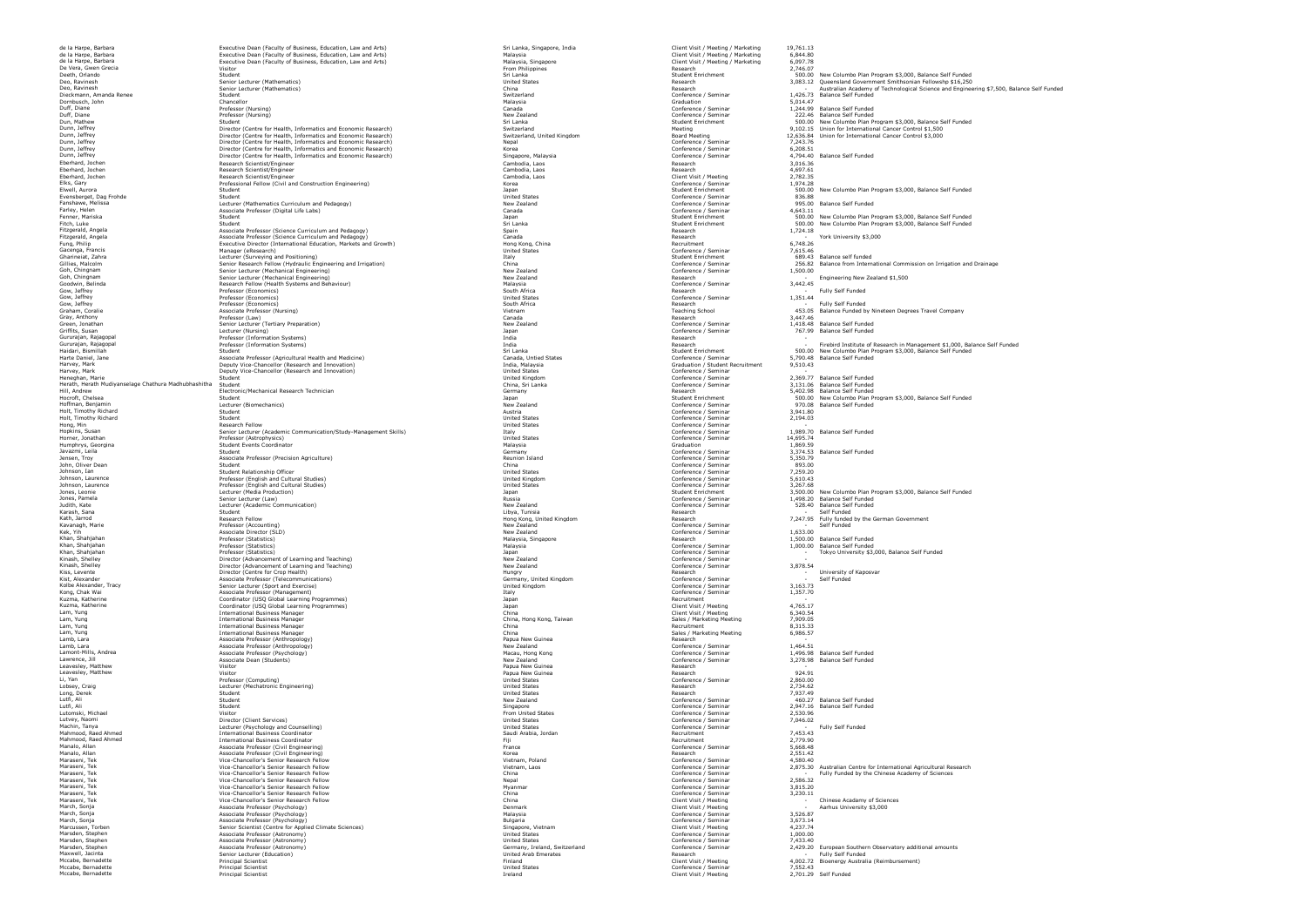Kath, Jarrod<br>Kavanagh, Marie Professor (Accounting) New Zealand Confessor (Accounting)<br>New Zealand Confessor (Seminary Professor (Statistics)<br>Nano, Shahijahan<br>Nano, Shahijahan

de la Harpe, Barbara Executive Dean (Faculty of Business, Education, Law and Arts) Sri Lanka, Singapore, India Client Visit / Meeting / Marketing 19,761.13 de la Harpe, Barbara Executive Dean (Faculty of Business, Education, Law and Arts) Malaysia Client Visit / Meeting / Marketing 6,844.80 de la Harpe, Barbara Executive Dean (Faculty of Business, Education, Law and Arts) Malaysia, Singapore Client Visit / Meeting / Marketing 6,097.78 De Vera, Gwen Grecia Visitor From Philippines Research 2,746.07 Deo, Ravinesh Senior Lecturer (Mathematics) China Research Research Dornbusch, John Graduation 5,014.47 Duff, Diane Professor (Nursing) Professor (Nursing) Canada Canada Canada Conference / Seminar 1,244.99 Balance Self Funded Duff, Diane Professor (Nursing) 222.46 Balance Self Funded Professor (Nursing) 222.46 Balance Self Funded Professor (Nursing) 222.46 Balance Self Funded Dunn, Jeffrey Microsoft Centre for Health, Informatics and Economic Research)<br>
Dunn, Jeffrey Director (Centre for Health, Informatics and Economic Research)<br>
Dunn, Jeffrey Director (Centre for Health, Informatics and Econ Dunn, Jeffrey Dunn, Dunnestor (Centre for Health, Informatics and Economic Research) Singapore, Malaysia Conference / Seminar 4,794.40<br>Singaport - Dunneston Singapore, Malaysia Conference - Singapore, Malaysia Cambodia, La Eberhard, Jochen Research Scientist/Engineer Cambodia, Laos Research 3,016.36 Eberhard, Jochen Research Scientist/Engineer Cambodia, Laos Research 4,697.61 Eberhard, Jochen Research Scientist/Engineer Cambodia, Laos Cambodia, Laos Cambodia, Laos Client Visit / Meeting 2,782.35<br>Elks, Gary Conference / Seminar 1,974.28 Professional Fellow (Civil and Construction Engineering) (W Evensberget, Dag Frohde Student United States (States United States United States Conference / Seminar States Assemberget, 2016.88<br>Fanshawe, Melissa Lecturer (Mathematics Curriculum and Pedagogy) New Zealand New Zealand St Farce Associate Professor (Digital Life Labs) Canada Conference / Seminar 4,643.111.12 Canada Conference / Seminar 4,643.111.111.12.11.12.11.12.11.12.11.12.11.12.11.12.11.12.11.12.11.12.11.12.11.12.11.12.11.12.11.12.11.12. **Fitagerald, Associate Professor (Science Curriculum and Pedagogy)** Fitzerald, Angela Associate Professor (Science Curriculum and Pedagogy) Canada Canada Canada Research Canada Research Canada Research Canada Research Canada Research (Science Canada Research Associate Recruitment 6,748.26<br> in the case of the manager (eResearch) (المستوى المستوى المستوى المستوى المستوى المستوى المستوى المستوى المستوى المستوى المستوى المستوى المستوى المستوى المستوى المستوى المستوى المستوى المستوى المستوى المستوى المستوى المست Gow, Jeffrey Research Research Professor (Economics) South Africa South Africa Research Research Research Research Research Research Research Research Research Research Research Research Research Research Research Research Gow, Jeffrey Professor (Economics) United States Conference / Seminar 1,351.44 المسابر المسافر المسافر المسافر المسافر المسافر المسافر المسافر المسافر المسافر المسافر المسافر المسافر المسافر<br>Gow, Jeffrey Professor (Economics)<br>Graham, Coralie Professor (Research Musinq)<br>Graham, Coralie (Teaching Scho Gow, Jettrey Army Professor (Economics) (Nursing) School School Associates (Nursing School School School School School 453.05 Balance Funded of Nurself Punded Army Associate Professor (Nursing School School Associate Profe Gray, Anthony Professor (Law) (University of Marchan Canada Canada Canada Canada Canada Research 2,447.46 Search 3,447.46 Search 3,447.46 Search 2,5447.46 Search 3,447.46 Search 3,447.46 Search 2,547.46 Search 3,447.46 Sea Green, Jonathan Senior Lecturer (Tertiary Preparation) New Zealand New Zealand Conference / Seminar 2,418.48 Balance Self Funded (Seminar 2,418.48 Balance Self Funded Griffits, Susan Lecturer (Nursing) Japan Conference / Seminary Japan Conference / Seminar 2007<br>Griffits, Susan Conference / Seminar Japan Conference / Seminar 767.99 Balance Self Funded Self Funded Self Funded Self Funded Gururajan, Rajagopal Professor (Information Systems) India Research Gururajan, Rajagopal Professor (Information Systems) India Research Harte Daniel, Jane Marte Associate Professor (Agricultural Health and Medicine) Canada, Untied States Canada, Untied States Conference / Seminar 5,790.48 Balance Self Funded Harvey, Mark Deputy Vice-Chancellor (Research and Innovation) India, Malaysia Graduation (Scates Craduation / Student Recruitment 9,510.43<br>Harvey, Mark Scates Deputy Vice-Chancellor (Research and Innovation) United States Heneghan, Marie Student (Research and Indianapolis) on the United Student Conference / Seminar Conference / Seminar<br>Heneghan, Marie Student Student Student Student (Research and Individual Conference / Seminar Conference / Heath, Hender Adduction and Student Description of the Studies of China, Studies of China Studies of China Studies of Studies of Studies of Studies of Studies of Studies of Studies of Studies of Studies of Studies of Stud Hoffman, Benjamin Lecturer (Biomechanics) New Zealand Conference / Seminar 970.08 Balance Self Funded Holt, Timothy Richard Student Austria Conference / Seminar 3,941.80 Holt, Timothy Richard Student United States Conference / Seminar 2,194.03 Hong, Min Research Fellow Presearch Fellow United States Conference / Seminar Conference / Seminar The Conference / Seminar The Seminar The Seminar Skills) Italy Conference / Seminar 1,989.70 Balance Self Funded (Indeed S Horner, Innochy enter a Student Holly (Marchan Professor (Astrophysics) United States (Astrophysics) (Astrophysics)<br>Horner, Jonathan Marchan Professor (Astrophysics) United States (Astrophysics) United States (Seminar 14,6 Humphrys, Georgina Student Events Coordinator Malaysia Graduation 1,869.59 Javazmi, Leila Student Germany Conference / Student Germany Conference / Seminar Seminar Seminar States (Seminar States Self Funded<br>Jensen, Troy Associate Professor (Precision Agriculture) Reunion Island Conference / Semin John, China (March), Student China (March), Student China (March), Student Conference (Seminar 1997, 2007, 200<br>John, Oliver Dean Student China Conference / Seminar 893.00.79<br>Johnson, Jan (Student Relationship Officer 1999 Johnson, Ian Student Relationship Officer United States Conference / Seminar 7,259.20 Johnson, Laurence Professor (English and Cultural Studies) United Kingdom Conference / Seminar 5,610.43 Johnson, Laurence Professor (English and Cultural Studies) United States Conference / Seminar 3,267.68 Jones, Pamela Senior Lecturer (Law) Russia Conference / Seminar Law) Russia Conference / Seminar 1,498.20 Balance Seminar 1,498.20 Balance Seminar 1,498.20 Balance Seminar 1,498.20 Balance Seminar 1,498.20 Balance Seminar Karash, Sana Student Student Student (Student Student Student Student Student Student Student Student Student Research Research Student Student Student Student Student Student Student Student Student Student Student Studen Kann, San March, Jarrod Research Fellow Hong (1999)<br>Kath, Jarrod Research Fellow Research Fellow Hong Kong, United Kingdom Research Research Research 7,247.95 Fully funded by the German Government<br>Kath, Jarrod Research Fel Kek, Yih Associate Director (SLD) New Zealand Conference / Seminar 1,633.00 ker, run (1830), and the Magnetica (Statistics) (Statistics) (Statistics) (Statistics) (Statistics) (Statistic<br>Khan, Shahjahan 1,500.00 Balance Self Funded<br>Khan, Shahjahan Malaysia, Professor (Statistics)<br>Khan, Shahjahan Khan, Shahjahan Professor (Statistics) (Statistics) (Statistics) and the magnetic of the Malaysia Conference / Seminar (Seminar 1,000.00 Balance Self Funded Khan, Shahjahan Professor (Statistics) Japan Conference / Shahidan Director (Statistics) Japan Conference / Seminar<br>Kinash, Shelley Director (Advancement of Learning and Teaching) New Zealand New Zealand Conference / Semin Kinash, Shelley Machine (Advancement of Learning and Teaching)<br>
Microsoft (Advancement of Learning Advancement of Learning and Teaching) New Zealand Hundry<br>Note Alexander, Tracy (Advance / Senior Lecturer (Sport and Teachi Kiss, Levente Research Research (Search Director Centre for Crop Health)<br>Kist, Alexander Mess (Search Mess (Portes) (The Communications) (Search Centre Centre Centre Conference / Seminar<br>Kolbe Alexander, Tracy (Conference Kong, Chak Wai Associate Professor (Management) Italy Conference / Seminar 1,357.70 Kuzma, Katherine Coordinator (USQ Global Learning Programmes)<br>Kuzma, Katherine Coordinator (USQ Global Learning Programmes) Japan Recruitment and the Coordinator (USC) (USC Kuzma, Katherine Coordinator (USQ Global Learning Programmes) Japan Client Visit / Meeting 4,765.17 Lam, Yung International Business Manager China Client Visit / Meeting 6,340.54 Lam, Yung International Business Manager China, Hong Kong, Taiwan Sales / Marketing Meeting 7,909.05 Lam, Yung International Business Manager China Recruitment 8,315.33 Lam, Yung International Business Manager China Sales / Marketing Meeting 6,986.57 Lamb, Lara Associate Professor (Anthropology) Papua New Guinea Research Lamb, Lara Associate Professor (Anthropology) New Zealand Conference / Seminar 1,464.51 Lamont-Mills, Andrea Associate Professor (Psychology) Macau, Hong Kong Conference / Seminar 1,496.98 Balance Self Funded Lamp, Lamp (1998)<br>Lamp, Lamp (1998) associate Professor (Anthropology)<br>Lamp, Lamp (1998) Associate Professor (Anthropology)<br>Lampont-Mills, Andrea<br>Lamponte, Mathemateur (Seminar Microsofter Professor (Psychology) and the Co Leavesley, Matthew Visitor Papua New Guinea Research Leavesley, Matthew Visitor Papua New Guinea Research 924.91 Li, Yan Professor (Computing) United States Conference / Seminar 2,860.00 Lookhee (Mechanic Mechanic Computing) (1999)<br>Lobsey, Press, Craig (Mechanic Computing) United States (United States United States (United States Research<br>Lobsey, Craig (Mechanic States Research 2,200)<br>Luft, Ali<br>Luft, Ali Long, Derek Student United States Research 7,937.49 utfi, Ali Student Student New Zealand Conference / Seminar 1990.<br>Lutfi, Ali Student Student Student Singapore – Singapore – Singapore – Seminar – 2,947.16 Balance Self Funded Lutomski, Michael Michael Michael (Michael Michael Michael Michael Michael Michael Michael Michael (Michael Mi<br>Lutver, Naomi Conference / Seminar / 2014.02<br>Mahmood, Raad Ahmed Michael Lecturer (Particular Michael Michael Manalo, Allan Associate Professor (Civil Engineering) France (Civil Engineering) France (Civil Engineering) France (Civil Engineering)<br>Manalo, Allan Associate Professor (Civil Engineering)<br>Maraseni, Tek (Conference / Semin Manalo, Allan Associate Professor (Civil Engineering) Korea Research 2,551.42<br>Maraseni, Tek Vice-Chancellor's Senior Research Fellow Vietnam, Poland Vietnam, Poland Conference / Seminar 4,580.40 Mars enter the expected of the China Conference of the China Conference / Seminar<br>Mars Chancellor's Senior Research Fellow<br>Vice-Chancellor's Senior Research Fellow Maraseni, Tek Vice-Chancellor's Senior Research Fellow Nepal Conference / Senior Research Pellow Nepal Conference / Seminar 2,586.32<br>Maraseni, Tek Vice-Chancellor's Senior Research Fellow Myanmar Myanmar Myanmar Conference Maraseni, Tek Conference / Seminar Vice-Chancellor's Senior Research Fellow China Conference / Seminar 2,230.11 Maraseni, Tek Vice-Chancellor's Senior Research Fellow China Client Visit / Meeting March, Sonja Associate Professor (Psychology) Denmark Client Visit / Meeting March, Sonja Associate Professor (Psychology) Malaysia Conference / Seminar 3,526.87 March, Sonja Conference / Seminar Associate Professor (Psychology) and the conference and the conference and the state of Seminar and S,673.14 Marcussen, Torben Senior Senior Scientist (Centre for Applied Climate Sciences)<br>Marcussen, Torben Senior Associate Professor (Astronomy)<br>Marsden, Stephen Marcussen, Associate Professor (Astronomy)<br>Marsden, Stephen Conferen Marsden, Stephen Associate Professor (Astronomy) United States Conference / Seminar 1,000.00 Marsden, Stephen Associate Professor (Astronomy) United States Conference / Seminar 7,433.40 Marsden, Stephen Associate Professor (Astronomy)<br>Marsden, Stephen Associate Professor (Astronomy)<br>Marsden, Seminary, Ireland, Associate Professor (Astronomy)<br>Microsoft Seminary, Ireland, Seminary, Ireland, Switzerland, Ire Maxwell, Jacinta Senior Lecturer (Education) United Arab Emerates Research - Maxell, Jackmond Senior (Sucaber (Education) (Self Funded American Schedule Research Australia Meeting of Musical Schedule (Principal Scientist Meeting 4,002.72 Bioenergy Australia (Reimbursement)<br>Mccabe, Bernadette 4,00 Mccabe, Bernadette Principal Scientist United States Conference / Seminar 7,552.43

Mccabe, Bernadette Principal Scientist Ireland Client Visit / Meeting 2,701.29 Self Funded

Deen, Orangen Student Hemales) Supering Students (Section of Supering Student Manual Student Manual Student States Supering States Supering States Supering States Supering States Supering States Supering States Supering St Dun, Mathemathy and Dunder Students (Students) on Switterland Students (Student Students) (Student Students) (Students) (Students) (Students) (Students) (Students) (Students) (Students) (Students) (Students) (Students) (St Elke (1990)<br>Elke Clay – Aurora Student Profession Cellum (Nathenatics Cellum Aurora)<br>Elke Student Student Student (Mathematics Curriculum and Pedagogy) (National Deal of Student Student Student Student Student Student Stud Fenner, Mariska Student Japan Student Enrichment 500.00 New Columbo Plan Program \$3,000, Balance Self Funded Fitch, Luke Student Student Student Student Student Student Student Student Student Student Student Student Student Student Student Student Student Student Student Student Student Student Student Student Student Student S 1,724.18<br>- York University \$3,000<br>6 748 26 Ghanness, Zahra (School School of December 2002)<br>Gille Hard School School School (School School of December 2003)<br>Gille Marchanness (School School School of December 2003)<br>Goodwin, Belinda<br>Goodwin, Belinda (School Research - Engineering New Zealand \$1,500 - Finances - Fully Self Funded<br>- Fully Self Funded Gururajan, Rajaqoal<br>Gururajan, Rajaqoal – Profesor (Information Systems) – 1,000, Balance Self Funded – Management Student Student<br>Haidari, Bismillah Student Student Student Student Student Student Student Student – Sound -<br>2.260.77 - Raiance Solf Funded المستشر بين المستشر المستشر المستشر المستشر المستشر والمستشر المستشر المستشر المستشر المستشر المستشر المستشر المستشر و 10.000 Nessarch مستشر 1998 Student Student Student Student Student Student Student Student Student Stu 1,989.70 Balance Self Funded Jones, Leonie – Helenie Helenie (Helenie Media Production) Jones, Leonie – Jones, Leonie – Jones, Leonie – Jones, Leonie – Jones, Leonie – Jones, Leonie – Jones, Leonie – Jones, Leonie – Jones, Leonie – Jones, Leonie – Jon 3.500.00 New Coumbo Prair Fit<br>1,498.20 Balance Self Funded<br>528.40 Balance Self Funded<br>- Self Funded - Cally funded<br>- Self Funded<br>1,633.00 - Tokyo University \$3,000, Balance Self Funded 3.878.54 - University of Kaposvar - Self Funded 4 765 17 - *. . .* . <del>.</del> .  $024.01$ - Fully Self Funded<br>7.453.43 Marasen, Tek Vice-Chancellor's Senior Research Fellow<br>Maraseni, Tek Vice-Chancellor's Senior Research Fellow<br>Maraseni, Tek Vice-Chancellor's Senior Research Fellow Vietnam, Laos Conference / Seminar 2,275.30 Australian Cen - Fully Funded by the Chinese Academy of Sciences<br>
2 586.32 - Chinese Acadamy of Sciences - Aarhus University \$3,000<br>3.526.87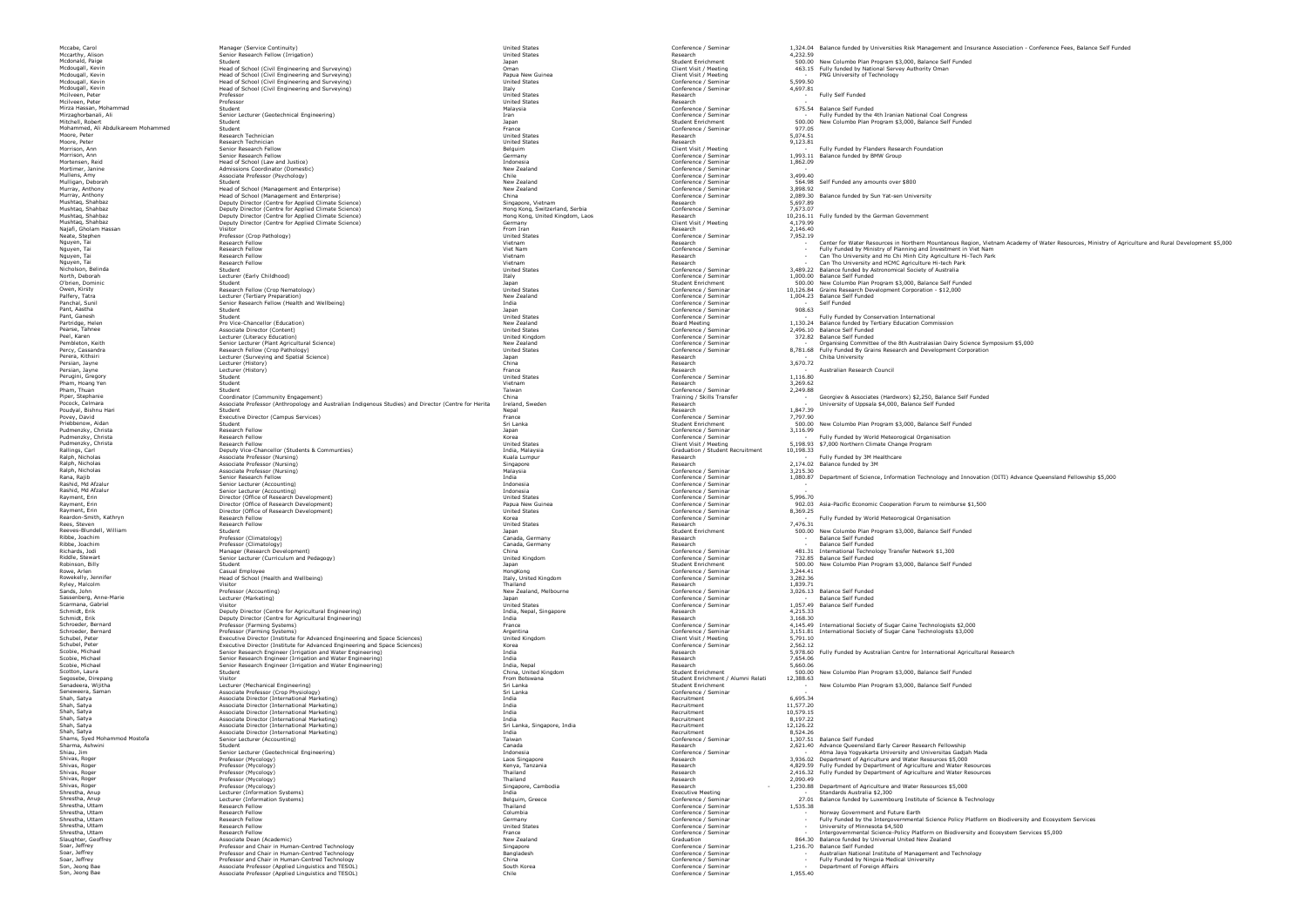Manager (Service Continuity)<br>Senior Research Fellow (Irrigation) United States Research Fellow (United States Research 4,232.599)<br>Student Student Person Fellow (Limianum) and Development Student Student Media on the Student Media of the Student Student Accession of the Student Student Student Student Student Student Student Student Student Student Student Mcdougall, Kevin Head of School (Civil Engineering and Surveying) Oman Client Consumer Client Visit / Meeting Authority Oman Client Visit / Meeting Authority Oman Client Visit / Meeting 463.15 Fully funded by National Serv Mcdougall, Kevin Head of School (Civil Engineering and Surveying) Papua New Guinea Client Visit / Meeting - PNG University of Technology Mcdougall, Kevin Head of School (Civil Engineering and Surveying)<br>Mcdougall, Kevin McGougall, Head of School (Civil Engineering and Surveying) United States Conference / Seminar<br>McDougall, McDougall, McGougall, McGougall, Mead of School (Civil Engineering and Surveying) on the School (Civil Engineering and Surveying) on the School<br>Professor<br>Professor Professor (Seminar 4,697.81) In the States of School (Civil Engineering and Surveying) on t Mcilveen, Peter Professor Professor Professor Professor Professor Professor Professor Professor Professor Professor Professor Professor Professor Professor Professor Professor Professor Professor Professor Professor Profes McIlveen, Peter Research Professor Professor Professor Professor Professor Professor Professor Professor Professor Professor Professor Professor Professor Professor Professor Professor Professor Professor Professor Profess Mirza Hassan, Mohammad Student Student Student Malaysia Malaysia Malaysia Malaysia Conference / Seminar Self Funded Self Funded Self Funded Self Funded Self Funded Self Funded Self Funded Self Funded Self Funded Self Funde Mirzaghorbanali, Ali Senior Lecturer (Geotechnical Engineering) Iran - Funded by the Conference / Seminar - Funded by the 4th Iranian National Coal Congress<br>- Mirzaghorbanali, Ali Senior Lecturer (Geotechnical Engineering) Mitchell, Robert Student Student Student Student Student Student Student Student Student Student Student Student Student Student Student Student Student Student Student Student Student Student Student Student Student Stude Mohammed, Ali Abdulkareem Mohammed Student France Conference / Seminar 977.05 Moore, Peter Research Technician United States Research 5,074.51 Moore, Peter Research Technician Research Technician Research Research Peter Research Peter Research 9,123.81 Morrison, Ann Senior Research Fellow Belguim Belguim Belguim - Belguim - Client Visit / Meeting - Fully Funded by Flanders Research Foundation - Fully Funded by Flanders Research Foundation Mornica, and the Senarch Second Hellow (Senarch Mornica) (Senarch Conference of Senarch Mornican Mornican Mornican 1,993.11 Balance funded by BMW Group<br>Mortemer, Daniel (Senarch Mornican Conference)<br>Mullens, Amy Mornical M Mulligan, Deborah Student New Zealand Conference / Seminar 564.98 Self Funded any amounts over \$800 Murray, Anthony Head of School (Management and Enterprise) New Zealand Conference / Seminar 3,898.92 Murandon, Heal School (Management and Enterprise) (Seminal Company of Contemporal Contemporal Contemporal of the Murandon (Seminary Advanced Seminary 1993)<br>Mushaq, Shahbaz (Seminary Deputy Director Centre for Applied Clima Najafi, Gholam Hassan Visitor From Iran Research 2,146.40 Neate, Stephen Professor (Crop Pathology) Professor (Crop Pathology) Professor (Crop Pathology) Professor (Crop Pathology) Professor (Crop Pathology) Professor (Crop Pathology) Professor (Crop Pathology) Professor (Crop Pa Nguyen, Tai Can Can Can Research Fellow Research Fellow Research Parks (2011)<br>Nicholson, Burden Research Fellow Student Parks (2012) - Conference (2012) - Conference (2012) - Can Tho University and HCMC Agriculture Hi-tech Nicholson, Belinda Student United States (Seminar Student States States (Seminar States States States States States States States States (Seminar States States States States States States States States (Seminar States Sta North, Debrain are and D.000.000 Balance Self Funded (Morther Seminar Morther), 2000.000 Balance Self Funded Secure (Seminar 1,000.00 Balance Self Funded Secure 2000). International and D.100.000 Balance Studien, Debrainm Palfer, Tatra Lecturer (Tetiary Preparation) New Zealand New Zealand Conference / Seminar - 1,004.23 Balance Seminar<br>Panchal, Sunil Seminar Seminar Research Fellow (Health and Wellbeing) India India India India India Confe Pant, Aastha Conference / Seminar 908.63 (Sudent Seminar 908.63 and Student Seminar Pant, Aastha Conference / Seminar 908.63 (Sudent Seminar Pant Seminar Pant Seminar Pant Seminar Pant Seminar Pant Seminar Pant Seminar Pan Pant, Games Sudent Studient Studient Studient Studient Studient Studient Seminar Seminar Seminar Seminar Seminar Seminar Seminar Seminar Seminar Seminar Studient Studient Studient Studient Studient Studient Studient Studie Pears, Tahnee Associate Director (Content)<br>Peel, Karen 2,496.0 Balance Self States (Content) United States United Kingdom Conference / Seminar 2,496.20 Balance Self Funded (Indeed, Particle States Indeed, Particle States I Pendent School (School of the School of School of Management of Management of Management of Management of Management of the School (School of The School of The School of The School of The School of The School of The School Perera, Kithsiri Lecturer (Surveying and Spatial Science) - Japan Development Development Development Development (Surveying and Spatial Development Development Development Development Development Development Development D Persian, Jayne Lecturer (History) France Research - Australian Research Council Perugini, Gregory Student United States Conference / Seminar 1,116.80 Pham, Hoang Yen Student Vietnam Research 3,269.62 Pham, Thuan More Conference / Seminar Paris 2,249.88 (2,49.88 - 2,249.89 )<br>Piper, Stephanie (Stephan More Condinator (Community Engagement) and Director (Centre for the Train of Seminar<br>Pocock, Celmara - Georgian - Univer Poudyal, Bishnu Hari Student 1, September 1, 2017.39<br>Povey, David Executive Director (Campus Services) France (Parizon Prace Conference / Seminar 1,797.90 - 197.90 Priebbenow, Adam Student Student Student Student Student Student Student Self Student Student Student Student Student Student Self Seminar (Seminar 1990)<br>Pudmentky, Christa Student Student Student Student Student Self Stu Pudmenzky, Christa Research Fellow Japan Conference / Seminar 3,116.99 Pudmenzky, Christam Accord Pellow Peach Fearth (States of Marchan United States States S, 198.93 \$7,000 Northern Climate Change Program<br>Rallings, Carl States (States According States According States of Design States of Gr Ralph, Nicholas Associate Professor (Nursing) Kuala Lumpur Research - Fully Funded by 3M Healthcare Ralph, Nicholas Associate Professor (Nursing) Singapore Research 2,174.02 Balance funded by 3M Ralph, Nicholas Associate Professor (Nursing) Malaysia Conference / Seminar 3,215.30 Rashid, Md Afzalur Senior Lecturer (Accounting) Indonesia Conference / Seminar - Rashid, Md Afzalur Senior Lecturer (Accounting) Indonesia Conference / Seminar - Rayment, Erin Director (Office of Research Development) United States Conference / Seminary Conference / Seminar<br>Rayment, Erin Conference / Seminar 5,996.70.70, 2007<br>Rayment, Erin States Conference / Seminar 5,996.70, 2007 Nayment, Erin Director (Office of Research Development)<br>Rayment, Erin Director (Office of Research Development)<br>Rayment, Erin Director (Office of Research Development)<br>Rayment, Erin 8,369.25 Asia-Pacific Economic Director Rayment, Erin Director (Office of Research Development)<br>Rayment, Erin Director (Office of Research Development)<br>Reardon-Smith, Kathyn Nesearch Erin Becarch Development)<br>Research Fellow Research Fellow Research Pellow (Stat uncetor (unter on-Research Jevelopment) on the conference of the conference of the conference / Seminar the conference / Seminar - Seminar - Fully Funded by World Meteorogical Organisation<br>Research Fellow Korea Conference Rees, Steven Research Fellow Research Fellow Research Fellow Research Pellow Research Package and Music Package and Music Package and Music Package and Music Package and Music Package and Music Package and Music Package an Reeves-Blundell, William Student Hellow Student Hellow Student Student Student Student Student Student Student<br>Reeves-Blundell, William Student Professor (Climatology) (North Student Student Canada, Germany Student Student Ribbe, Joachim Professor (Climatology)<br>Ribbe, Joachim Professor (Climatology) Canada, Germany Canada, Germany Research - Balance Self Funded (Climatology)<br>Ribbe, Joachim Professor (Climatology) Canada, Germany Canada, Germ Richards, Jodi Manager (Research Development) China Conference / Seminar 481.31 International Technology Transfer Network \$1,300 Riddle, Stewart Senior Lecturer (Curriculum and Pedagogy) United Kingdom Conference / Seminar 732.85 Balance Self Funded Robinson, Billy Student Student Student Student Enrichment Student Enrichment Student Enrichment Student Enrichment Student Enrichment Student Enrichment Student Enrichment Student Program \$3,000, Balance Self Funded Rowe, Arlen Conference / Seminar Casual Employee Constants Conference / Seminar 2,244.41 (2,44.41 ) Conference / Seminar 2,244.41 Rowekelly, Jennifer (Seminar Mondon)<br>Rowekelly, Jennifer (Seminar Head of School (Health and Wellbeing)<br>Rowekelly, Jennifer Head of School (Health and Wellbeing)<br>Sassenberg, Anne-Marie (Seminar Proference / Seminar 1,839. Ryley, Malcolm Research (1,839.71 - 1,839.71 - 1,839.71 - 1,839.71 - 1,839.71 - 1,839.71 - 1,839.71 - 1,839.71 Sands, John Professor (Accounting) New Zealand, Melbourne New Zealand, Melbourne New Zealand, Melbourne Conference / Seminar 3,026.13 Balance Self Funded Sassenberg, Anne-Marie Lecturer (Marketing) Japan Conference / Seminar - Balance Self Funded Scarmana, Gabriel (1997). 1992 - Visitor Visitor Visitor Visitor (1997). Marked States (1997). United States (<br>Schmidt, Erik Marked Deputy Director (Centre for Agricultural Engineering) 1992 - India, Menal, Nepal, Singapor Schronage of the Schronage of the Schronage of the Schronage of the Content of the Schronage of the Schronage of the Schronage of the Schronage of the Schronage of the Schronage of the Schronage of the Schronage of the Sch Schroeder, Permand Schubel, Professor (Farming Systems)<br>
Schubel, Peter Professor (Farming Systems) United Advanced Engineering and Space Sciences) United Kingdom Client United Kingdom Conference / Seminar 1551.81<br>
Schubel Schubel, Peter Executive Director (Institute for Advanced Engineering and Space Sciences) Korea Conference / Seminar Conference / Seminar 2,562.12<br>Schubel, Peter Engineering Conferences (Institute for Advanced Engineering Scobie, Michael Microsoften Senior Research Engineer (Irriqation and Water Engineering) [India India<br>Scobie, Michael Senior Assemblance (Irriqation and Water Engineering) India Microsoft Research Microsoft Research 7,654.0 Scote, Michael Senior Nesserch Engineer (Irngation and Water Engineering) in the Michael Michael Scotton, Laura (1978), 2006, 2006, 2006, 2006, 2006, 2006, 2006, 2006, 2006, 2006, 2006, 2006, 2007, 2007, 2007, 2007, 2007, Segosebe, Direpang Student Enrichment / Alumni Relations 12,388.63 Senadeera, Wijitha Lecturer (Mechanical Engineering) Sri Lanka Student Enrichment - New Columbo Plan Program \$3,000, Balance Self Funded Seneweera, Saman Associate Professor (Crop Physiology) Sri Lanka Conference / Seminar - Shah, Satya Associate Director (International Marketing) India Recruitment 6,695.34 Shah, Satya Associate Director (International Marketing) India Recruitment 11,577.20 Shah, Satya Associate Director (International Marketing) India India India India Recruitment (10,579.15<br>Shah, Satya Associate Director (International Marketing) India India India Recruitment 10,579.25.2017.2013. Shah, Satya Associate Director (International Marketing) India Recruitment 8,197.22 Shah, Salya and Resolute Director (International Marketing) and State Scheen Scheen and Scheen Headler and Scheen Headler (1,126.22 – 1,126.22 – 1,126.22 – 1,126.22 – 1,126.22 – 1,126.22 – 1,126.22 – 1,126.22 – 1,26.22 – 1 Shamma, Ashwini (Shamma, Ashwini Danis (Shamma), Shamma, Ashwani Danis (Shamma, Ashwani Danis (Shamma), Shamma<br>Shius, Jim Shamma, Shamma, Shamma, Shamma, Shamma, Shamma, Shamma, Shamma, Shamma, Shamma, Shamma, Shamma, Sham Shivang Months (World Months of Months 2001) (Shivan Months 2001) (Shivan Months 2002) (Shivan Months 2002) (Shivan Months 2002) (Shivan Months 2002) (Shivan Months 2,416.32 Fully Funded by Department of Agriculture and Wa Shivas, Roger Research Professor (Mycology) 2,090.49 (Mycology) and Research Research Research 2,090.49 Shivas, Roger Professor (Mycology) (New Medical Control and Medical Control and Medical Control and Medical Control of Agriculture and Water Research - 1,829.59 Pully European of Agriculture and Water Research Professor (M Shrestha, Anup Lecturer (Information Systems) India Executive Meeting - Standards Australia \$2,300 لاست المسائر المسائر المسائر المسائر المسائر المسائر المسائر المسائر المسائر المسائر المسائر المسائر المسائر ال<br>Shrestha, Utam (Breech Fellow Marchetin Systems) and the Shrestha, Christmas (Secret Seminar States of Scienc Shrestha, Uttam Conference / Seminar 1,535.38 (Shrestha, Uttam Research Fellow Thailand Conference / Seminar 1,535.38 المسموسي المسموسي المسموسي المسموسي المسموسي المسموسي المسموسي المسموسي المسموسي المسموسي المسموسي المسموسي المسموسي والمسموسي المسموسي المسموسي المسموسي والمسموسي المسموسي والمسموسي المسموسي المسموسي والمسموسي المسموسي ا Research Fellow (Graduator)<br>Professor and Chair in Human-Centred Technology<br>Professor and Chair in Human-Centred Technology<br>Professor and Chair in Human-Centred Technology Singapore Conference / Seminar 1,216.70 Balance Se Soar, Jeffrey Metal (Society Professor and Chair in Human-Centred Technology China Conference / Something China Conference / Seminar - Fully Funded by Ningxia University<br>Son, Jeong Beauty Associate Professor (Apolled Inqui Son, band a secular profess (Associate Professor Applied Linuxum and TEOL) South South South South South South<br>Son, Jeong Bae South Associate Professor (Applied Linquistics and TESOL) South South Chile Chile Conference (Se

Mccabe, Mccabe, Carolic Carolic Carolic Carolic Carolic United States Conference Conference Conference (Semina<br>Mccabe, Carolic Manager (Seminager (Seminager (Seminager (Seminager (Seminager (Seminager 1,134.04 Balance Self Nguyen, Tall and Museum Museum (Nethann Museum Museum Museum Museum - Center for Mater Resources in Nothern Mountanous Require Mater Resources in Month Museum Addition, Vietnam Museum Museum - Tendent Shandard Museum - Ten Pudmenzky, Christa Research Fellow Korea Conference / Seminar - Fully Funded by World Meteorogical Organisation Rana, Rajib Senior Research Fellow India Conference / Seminar 1,080.87 Department of Science, Information Technology and Innovation (DITI) Advance Queensland Fellowship \$5,000 Shresha, Mark Prophen Mark Prophen Mark Prophen Mark Prophen Conference (Scheman Mark Prophen Mark Prophen Mark Prophen Mark Prophen Mark Prophen Mark Prophen Mark Prophen Mark Prophen Mark Prophen Mark Prophen Mark Prophe Barance Sen Funded<br>Australian National Institute of Management and Technology